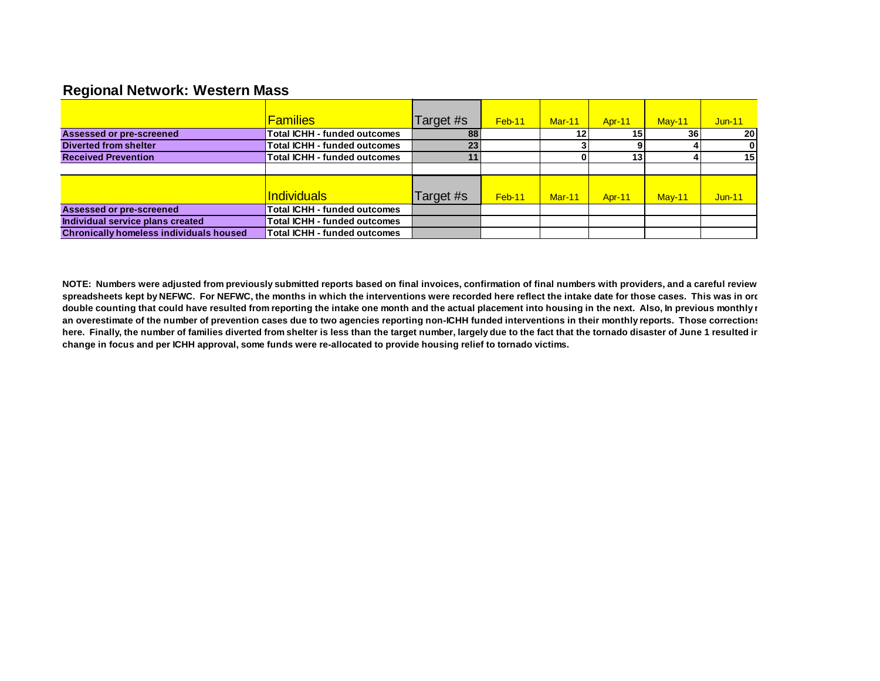## **Regional Network: Western Mass**

|                                                | <b>Families</b>                     | Target #s | Feb-11   | $Mar-11$        | <b>Apr-11</b> | $May-11$ | $Jun-11$ |
|------------------------------------------------|-------------------------------------|-----------|----------|-----------------|---------------|----------|----------|
| Assessed or pre-screened                       | <b>Total ICHH - funded outcomes</b> | 88        |          | 12 <sub>1</sub> | 15            | 36       | 20       |
| <b>Diverted from shelter</b>                   | <b>Total ICHH - funded outcomes</b> | 23        |          |                 |               |          |          |
| <b>Received Prevention</b>                     | <b>Total ICHH - funded outcomes</b> | 11        |          |                 | 13            |          | 15       |
|                                                |                                     |           |          |                 |               |          |          |
|                                                |                                     |           |          |                 |               |          |          |
|                                                | <u>Individuals</u>                  | Target #s | $Feb-11$ | $Mar-11$        | <b>Apr-11</b> | $May-11$ | $Jun-11$ |
| Assessed or pre-screened                       | Total ICHH - funded outcomes        |           |          |                 |               |          |          |
| Individual service plans created               | <b>Total ICHH - funded outcomes</b> |           |          |                 |               |          |          |
| <b>Chronically homeless individuals housed</b> | <b>Total ICHH - funded outcomes</b> |           |          |                 |               |          |          |

NOTE: Numbers were adjusted from previously submitted reports based on final invoices, confirmation of final numbers with providers, and a careful review spreadsheets kept by NEFWC. For NEFWC, the months in which the interventions were recorded here reflect the intake date for those cases. This was in order double counting that could have resulted from reporting the intake one month and the actual placement into housing in the next. Also, In previous monthly r an overestimate of the number of prevention cases due to two agencies reporting non-ICHH funded interventions in their monthly reports. Those corrections here. Finally, the number of families diverted from shelter is less than the target number, largely due to the fact that the tornado disaster of June 1 resulted in **change in focus and per ICHH approval, some funds were re-allocated to provide housing relief to tornado victims.**